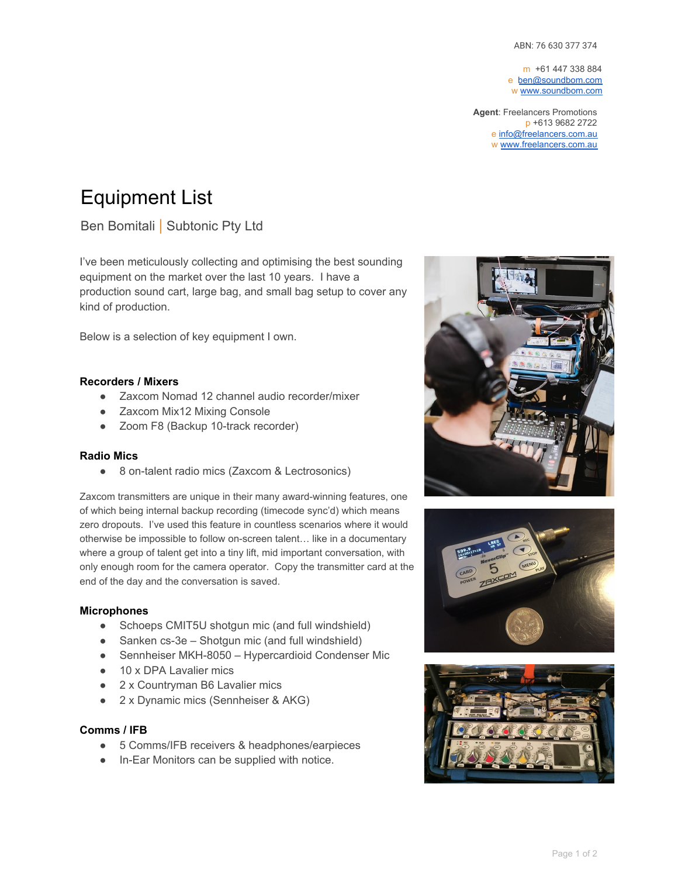m +61 447 338 884 e [ben@soundbom.com](mailto:ben@soundbom.com) w [www.soundbom.com](http://www.soundbom.com/)

**Agent**: Freelancers Promotions p +613 9682 2722 e [info@freelancers.com.au](mailto:info@freelancers.com.au) w [www.freelancers.com.au](http://www.freelancers.com.au/)

# Equipment List

Ben Bomitali | Subtonic Pty Ltd

I've been meticulously collecting and optimising the best sounding equipment on the market over the last 10 years. I have a production sound cart, large bag, and small bag setup to cover any kind of production.

Below is a selection of key equipment I own.

# **Recorders / Mixers**

- Zaxcom Nomad 12 channel audio recorder/mixer
- Zaxcom Mix12 Mixing Console
- Zoom F8 (Backup 10-track recorder)

# **Radio Mics**

● 8 on-talent radio mics (Zaxcom & Lectrosonics)

Zaxcom transmitters are unique in their many award-winning features, one of which being internal backup recording (timecode sync'd) which means zero dropouts. I've used this feature in countless scenarios where it would otherwise be impossible to follow on-screen talent… like in a documentary where a group of talent get into a tiny lift, mid important conversation, with only enough room for the camera operator. Copy the transmitter card at the end of the day and the conversation is saved.

# **Microphones**

- Schoeps CMIT5U shotgun mic (and full windshield)
- Sanken cs-3e Shotgun mic (and full windshield)
- Sennheiser MKH-8050 Hypercardioid Condenser Mic
- 10 x DPA Lavalier mics
- 2 x Countryman B6 Lavalier mics
- 2 x Dynamic mics (Sennheiser & AKG)

# **Comms / IFB**

- 5 Comms/IFB receivers & headphones/earpieces
- In-Ear Monitors can be supplied with notice.